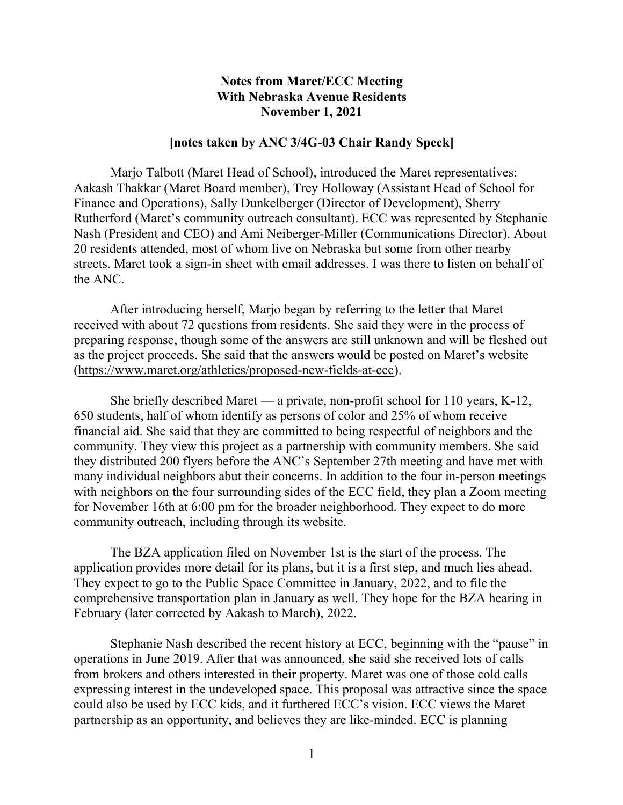## **Notes from Maret/ECC Meeting With Nebraska Avenue Residents November 1, 2021**

## **[notes taken by ANC 3/4G-03 Chair Randy Speck]**

Marjo Talbott (Maret Head of School), introduced the Maret representatives: Aakash Thakkar (Maret Board member), Trey Holloway (Assistant Head of School for Finance and Operations), Sally Dunkelberger (Director of Development), Sherry Rutherford (Maret's community outreach consultant). ECC was represented by Stephanie Nash (President and CEO) and Ami Neiberger-Miller (Communications Director). About 20 residents attended, most of whom live on Nebraska but some from other nearby streets. Maret took a sign-in sheet with email addresses. I was there to listen on behalf of the ANC.

After introducing herself, Marjo began by referring to the letter that Maret received with about 72 questions from residents. She said they were in the process of preparing response, though some of the answers are still unknown and will be fleshed out as the project proceeds. She said that the answers would be posted on Maret's website (https://www.maret.org/athletics/proposed-new-fields-at-ecc).

She briefly described Maret — a private, non-profit school for 110 years, K-12, 650 students, half of whom identify as persons of color and 25% of whom receive financial aid. She said that they are committed to being respectful of neighbors and the community. They view this project as a partnership with community members. She said they distributed 200 flyers before the ANC's September 27th meeting and have met with many individual neighbors abut their concerns. In addition to the four in-person meetings with neighbors on the four surrounding sides of the ECC field, they plan a Zoom meeting for November 16th at 6:00 pm for the broader neighborhood. They expect to do more community outreach, including through its website.

The BZA application filed on November 1st is the start of the process. The application provides more detail for its plans, but it is a first step, and much lies ahead. They expect to go to the Public Space Committee in January, 2022, and to file the comprehensive transportation plan in January as well. They hope for the BZA hearing in February (later corrected by Aakash to March), 2022.

Stephanie Nash described the recent history at ECC, beginning with the "pause" in operations in June 2019. After that was announced, she said she received lots of calls from brokers and others interested in their property. Maret was one of those cold calls expressing interest in the undeveloped space. This proposal was attractive since the space could also be used by ECC kids, and it furthered ECC's vision. ECC views the Maret partnership as an opportunity, and believes they are like-minded. ECC is planning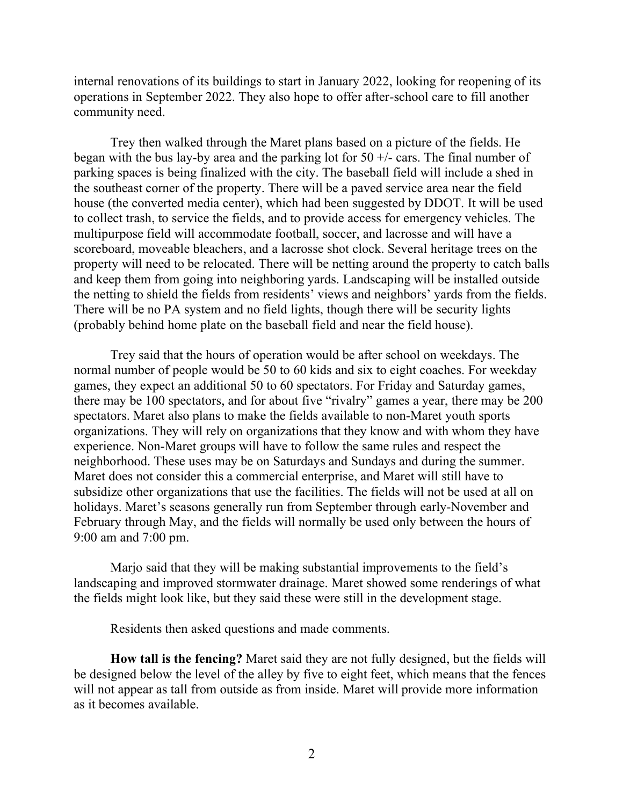internal renovations of its buildings to start in January 2022, looking for reopening of its operations in September 2022. They also hope to offer after-school care to fill another community need.

Trey then walked through the Maret plans based on a picture of the fields. He began with the bus lay-by area and the parking lot for  $50 +/-$  cars. The final number of parking spaces is being finalized with the city. The baseball field will include a shed in the southeast corner of the property. There will be a paved service area near the field house (the converted media center), which had been suggested by DDOT. It will be used to collect trash, to service the fields, and to provide access for emergency vehicles. The multipurpose field will accommodate football, soccer, and lacrosse and will have a scoreboard, moveable bleachers, and a lacrosse shot clock. Several heritage trees on the property will need to be relocated. There will be netting around the property to catch balls and keep them from going into neighboring yards. Landscaping will be installed outside the netting to shield the fields from residents' views and neighbors' yards from the fields. There will be no PA system and no field lights, though there will be security lights (probably behind home plate on the baseball field and near the field house).

Trey said that the hours of operation would be after school on weekdays. The normal number of people would be 50 to 60 kids and six to eight coaches. For weekday games, they expect an additional 50 to 60 spectators. For Friday and Saturday games, there may be 100 spectators, and for about five "rivalry" games a year, there may be 200 spectators. Maret also plans to make the fields available to non-Maret youth sports organizations. They will rely on organizations that they know and with whom they have experience. Non-Maret groups will have to follow the same rules and respect the neighborhood. These uses may be on Saturdays and Sundays and during the summer. Maret does not consider this a commercial enterprise, and Maret will still have to subsidize other organizations that use the facilities. The fields will not be used at all on holidays. Maret's seasons generally run from September through early-November and February through May, and the fields will normally be used only between the hours of 9:00 am and 7:00 pm.

Marjo said that they will be making substantial improvements to the field's landscaping and improved stormwater drainage. Maret showed some renderings of what the fields might look like, but they said these were still in the development stage.

Residents then asked questions and made comments.

**How tall is the fencing?** Maret said they are not fully designed, but the fields will be designed below the level of the alley by five to eight feet, which means that the fences will not appear as tall from outside as from inside. Maret will provide more information as it becomes available.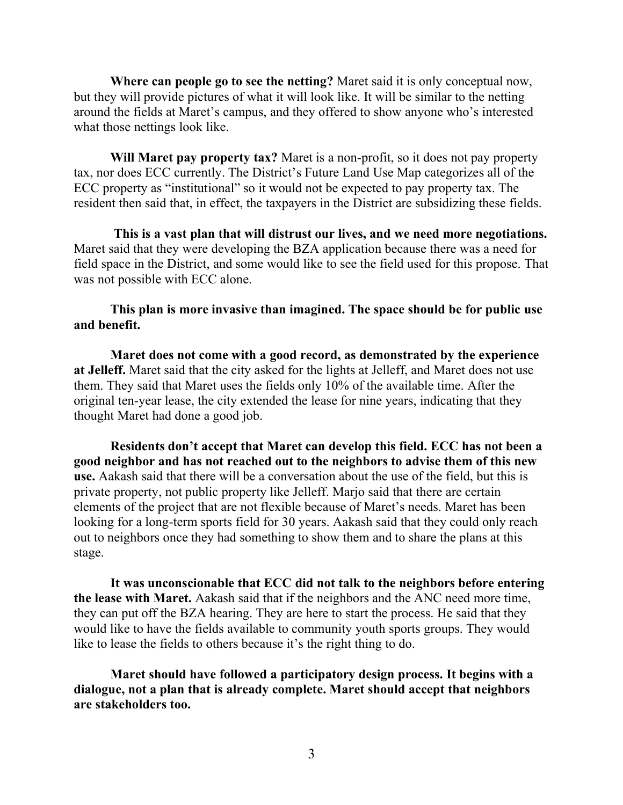**Where can people go to see the netting?** Maret said it is only conceptual now, but they will provide pictures of what it will look like. It will be similar to the netting around the fields at Maret's campus, and they offered to show anyone who's interested what those nettings look like.

**Will Maret pay property tax?** Maret is a non-profit, so it does not pay property tax, nor does ECC currently. The District's Future Land Use Map categorizes all of the ECC property as "institutional" so it would not be expected to pay property tax. The resident then said that, in effect, the taxpayers in the District are subsidizing these fields.

**This is a vast plan that will distrust our lives, and we need more negotiations.** Maret said that they were developing the BZA application because there was a need for field space in the District, and some would like to see the field used for this propose. That was not possible with ECC alone.

## **This plan is more invasive than imagined. The space should be for public use and benefit.**

**Maret does not come with a good record, as demonstrated by the experience at Jelleff.** Maret said that the city asked for the lights at Jelleff, and Maret does not use them. They said that Maret uses the fields only 10% of the available time. After the original ten-year lease, the city extended the lease for nine years, indicating that they thought Maret had done a good job.

**Residents don't accept that Maret can develop this field. ECC has not been a good neighbor and has not reached out to the neighbors to advise them of this new use.** Aakash said that there will be a conversation about the use of the field, but this is private property, not public property like Jelleff. Marjo said that there are certain elements of the project that are not flexible because of Maret's needs. Maret has been looking for a long-term sports field for 30 years. Aakash said that they could only reach out to neighbors once they had something to show them and to share the plans at this stage.

**It was unconscionable that ECC did not talk to the neighbors before entering the lease with Maret.** Aakash said that if the neighbors and the ANC need more time, they can put off the BZA hearing. They are here to start the process. He said that they would like to have the fields available to community youth sports groups. They would like to lease the fields to others because it's the right thing to do.

**Maret should have followed a participatory design process. It begins with a dialogue, not a plan that is already complete. Maret should accept that neighbors are stakeholders too.**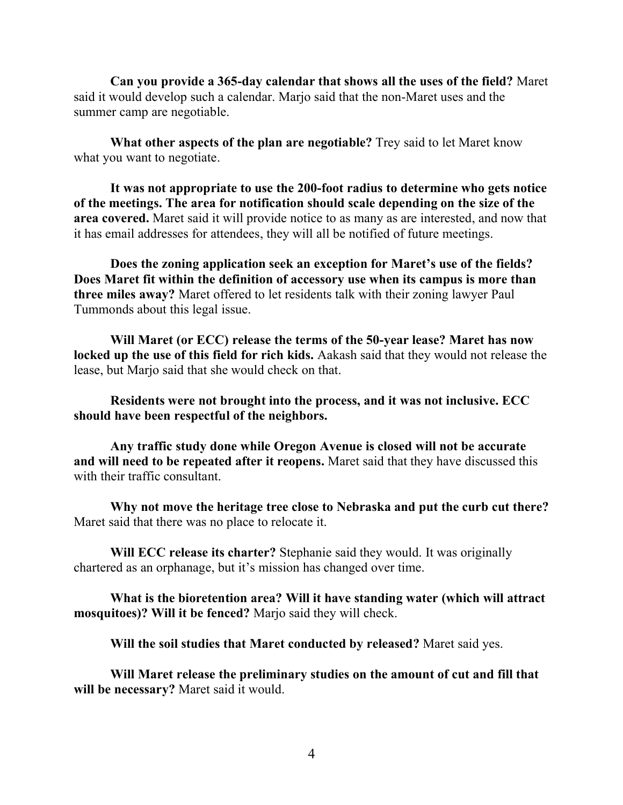**Can you provide a 365-day calendar that shows all the uses of the field?** Maret said it would develop such a calendar. Marjo said that the non-Maret uses and the summer camp are negotiable.

**What other aspects of the plan are negotiable?** Trey said to let Maret know what you want to negotiate.

**It was not appropriate to use the 200-foot radius to determine who gets notice of the meetings. The area for notification should scale depending on the size of the area covered.** Maret said it will provide notice to as many as are interested, and now that it has email addresses for attendees, they will all be notified of future meetings.

**Does the zoning application seek an exception for Maret's use of the fields? Does Maret fit within the definition of accessory use when its campus is more than three miles away?** Maret offered to let residents talk with their zoning lawyer Paul Tummonds about this legal issue.

**Will Maret (or ECC) release the terms of the 50-year lease? Maret has now locked up the use of this field for rich kids.** Aakash said that they would not release the lease, but Marjo said that she would check on that.

**Residents were not brought into the process, and it was not inclusive. ECC should have been respectful of the neighbors.**

**Any traffic study done while Oregon Avenue is closed will not be accurate and will need to be repeated after it reopens.** Maret said that they have discussed this with their traffic consultant.

**Why not move the heritage tree close to Nebraska and put the curb cut there?** Maret said that there was no place to relocate it.

**Will ECC release its charter?** Stephanie said they would. It was originally chartered as an orphanage, but it's mission has changed over time.

**What is the bioretention area? Will it have standing water (which will attract mosquitoes)? Will it be fenced?** Marjo said they will check.

**Will the soil studies that Maret conducted by released?** Maret said yes.

**Will Maret release the preliminary studies on the amount of cut and fill that will be necessary?** Maret said it would.